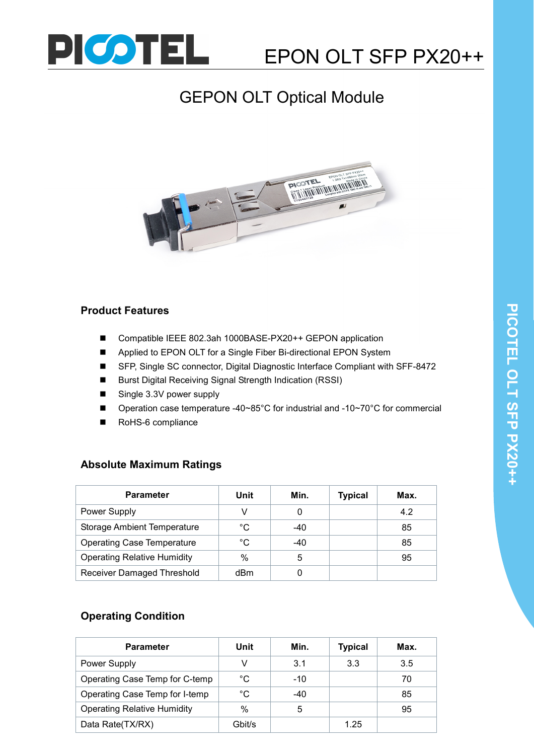

# GEPON OLT Optical Module



### Product Features

- Compatible IEEE 802.3ah 1000BASE-PX20++ GEPON application
- Applied to EPON OLT for a Single Fiber Bi-directional EPON System
- SFP, Single SC connector, Digital Diagnostic Interface Compliant with SFF-8472
- Burst Digital Receiving Signal Strength Indication (RSSI)
- Single 3.3V power supply
- Operation case temperature -40~85°C for industrial and -10~70°C for commercial
- RoHS-6 compliance

# Absolute Maximum Ratings

| <b>Parameter</b>                   | Unit | Min.  | <b>Typical</b> | Max. |
|------------------------------------|------|-------|----------------|------|
| <b>Power Supply</b>                |      | 0     |                | 4.2  |
| <b>Storage Ambient Temperature</b> | °C   | $-40$ |                | 85   |
| <b>Operating Case Temperature</b>  | °C   | $-40$ |                | 85   |
| <b>Operating Relative Humidity</b> | %    | 5     |                | 95   |
| Receiver Damaged Threshold         | dBm  |       |                |      |

# Operating Condition

| <b>Parameter</b>                   | Unit   | Min.  | <b>Typical</b> | Max. |
|------------------------------------|--------|-------|----------------|------|
| <b>Power Supply</b>                |        | 3.1   | 3.3            | 3.5  |
| Operating Case Temp for C-temp     | °C     | $-10$ |                | 70   |
| Operating Case Temp for I-temp     | °C     | $-40$ |                | 85   |
| <b>Operating Relative Humidity</b> | $\%$   | 5     |                | 95   |
| Data Rate(TX/RX)                   | Gbit/s |       | 1.25           |      |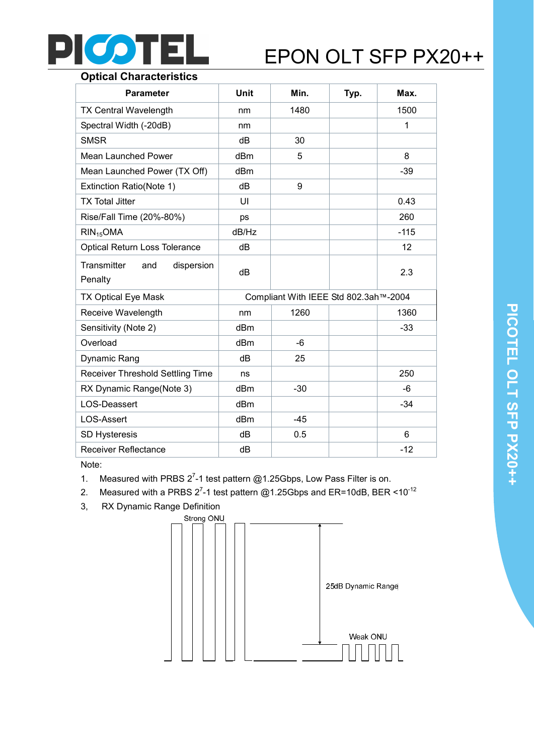

# Optical Characteristics

| <b>Parameter</b>                            | Unit  | Min.                                  | Typ. | Max.   |
|---------------------------------------------|-------|---------------------------------------|------|--------|
| <b>TX Central Wavelength</b>                | nm    | 1480                                  |      | 1500   |
| Spectral Width (-20dB)                      | nm    |                                       |      | 1      |
| <b>SMSR</b>                                 | dB    | 30                                    |      |        |
| <b>Mean Launched Power</b>                  | dBm   | 5                                     |      | 8      |
| Mean Launched Power (TX Off)                | dBm   |                                       |      | $-39$  |
| Extinction Ratio(Note 1)                    | dB    | 9                                     |      |        |
| <b>TX Total Jitter</b>                      | UI    |                                       |      | 0.43   |
| Rise/Fall Time (20%-80%)                    | ps    |                                       |      | 260    |
| $RIN_{15}OMA$                               | dB/Hz |                                       |      | $-115$ |
| <b>Optical Return Loss Tolerance</b>        | dB    |                                       |      | 12     |
| Transmitter<br>dispersion<br>and<br>Penalty | dB    |                                       |      | 2.3    |
| <b>TX Optical Eye Mask</b>                  |       | Compliant With IEEE Std 802.3ah™-2004 |      |        |
| Receive Wavelength                          | nm    | 1260                                  |      | 1360   |
| Sensitivity (Note 2)                        | dBm   |                                       |      | $-33$  |
| Overload                                    | dBm   | $-6$                                  |      |        |
| Dynamic Rang                                | dB    | 25                                    |      |        |
| Receiver Threshold Settling Time            | ns    |                                       |      | 250    |
| RX Dynamic Range(Note 3)                    | dBm   | $-30$                                 |      | -6     |
| LOS-Deassert                                | dBm   |                                       |      | $-34$  |
| <b>LOS-Assert</b>                           | dBm   | $-45$                                 |      |        |
| <b>SD Hysteresis</b>                        | dB    | 0.5                                   |      | 6      |
| <b>Receiver Reflectance</b>                 | dB    |                                       |      | $-12$  |

Note:

- 1. Measured with PRBS  $2^7$ -1 test pattern @1.25Gbps, Low Pass Filter is on.
- 2. Measured with a PRBS 2<sup>7</sup>-1 test pattern @1.25Gbps and ER=10dB, BER <10<sup>-12</sup>
- 3, RX Dynamic Range Definition

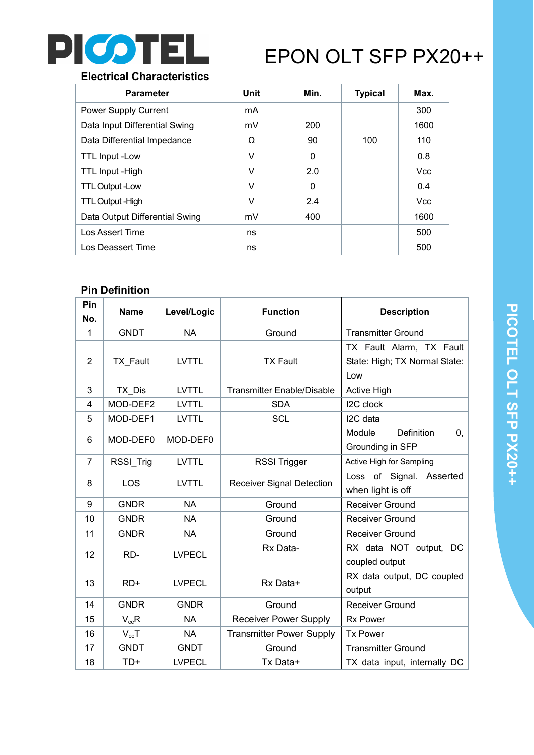

### Electrical Characteristics

| <b>Parameter</b>               | Unit | Min. | <b>Typical</b> | Max.       |
|--------------------------------|------|------|----------------|------------|
| <b>Power Supply Current</b>    | mA   |      |                | 300        |
| Data Input Differential Swing  | mV   | 200  |                | 1600       |
| Data Differential Impedance    | Ω    | 90   | 100            | 110        |
| <b>TTL Input -Low</b>          | v    | 0    |                | 0.8        |
| TTL Input - High               | v    | 2.0  |                | <b>Vcc</b> |
| <b>TTL Output -Low</b>         | v    | 0    |                | 0.4        |
| <b>TTL Output - High</b>       | v    | 2.4  |                | <b>Vcc</b> |
| Data Output Differential Swing | mV   | 400  |                | 1600       |
| Los Assert Time                | ns   |      |                | 500        |
| Los Deassert Time              | ns   |      |                | 500        |

# Pin Definition

| Pin<br>No.     | <b>Name</b> | Level/Logic   | <b>Function</b>                   | <b>Description</b>                                               |  |
|----------------|-------------|---------------|-----------------------------------|------------------------------------------------------------------|--|
| $\mathbf 1$    | <b>GNDT</b> | <b>NA</b>     | Ground                            | <b>Transmitter Ground</b>                                        |  |
| 2              | TX_Fault    | <b>LVTTL</b>  | <b>TX Fault</b>                   | TX Fault Alarm, TX Fault<br>State: High; TX Normal State:<br>Low |  |
| 3              | TX Dis      | <b>LVTTL</b>  | <b>Transmitter Enable/Disable</b> | <b>Active High</b>                                               |  |
| 4              | MOD-DEF2    | <b>LVTTL</b>  | <b>SDA</b>                        | I2C clock                                                        |  |
| 5              | MOD-DEF1    | <b>LVTTL</b>  | <b>SCL</b>                        | I2C data                                                         |  |
| 6              | MOD-DEF0    | MOD-DEF0      |                                   | Module<br>Definition<br>0,<br>Grounding in SFP                   |  |
| $\overline{7}$ | RSSI_Trig   | <b>LVTTL</b>  | <b>RSSI Trigger</b>               | Active High for Sampling                                         |  |
| 8              | LOS         | <b>LVTTL</b>  | <b>Receiver Signal Detection</b>  | Loss of Signal. Asserted<br>when light is off                    |  |
| 9              | <b>GNDR</b> | <b>NA</b>     | Ground                            | <b>Receiver Ground</b>                                           |  |
| 10             | <b>GNDR</b> | <b>NA</b>     | Ground                            | <b>Receiver Ground</b>                                           |  |
| 11             | <b>GNDR</b> | <b>NA</b>     | Ground                            | <b>Receiver Ground</b>                                           |  |
| 12             | RD-         | <b>LVPECL</b> | Rx Data-                          | RX data NOT output, DC<br>coupled output                         |  |
| 13             | $RD+$       | <b>LVPECL</b> | Rx Data+                          | RX data output, DC coupled<br>output                             |  |
| 14             | <b>GNDR</b> | <b>GNDR</b>   | Ground                            | <b>Receiver Ground</b>                                           |  |
| 15             | $V_{cc}R$   | <b>NA</b>     | <b>Receiver Power Supply</b>      | <b>Rx Power</b>                                                  |  |
| 16             | $V_{cc}T$   | <b>NA</b>     | <b>Transmitter Power Supply</b>   | <b>Tx Power</b>                                                  |  |
| 17             | <b>GNDT</b> | <b>GNDT</b>   | Ground                            | <b>Transmitter Ground</b>                                        |  |
| 18             | $TD+$       | <b>LVPECL</b> | Tx Data+                          | TX data input, internally DC                                     |  |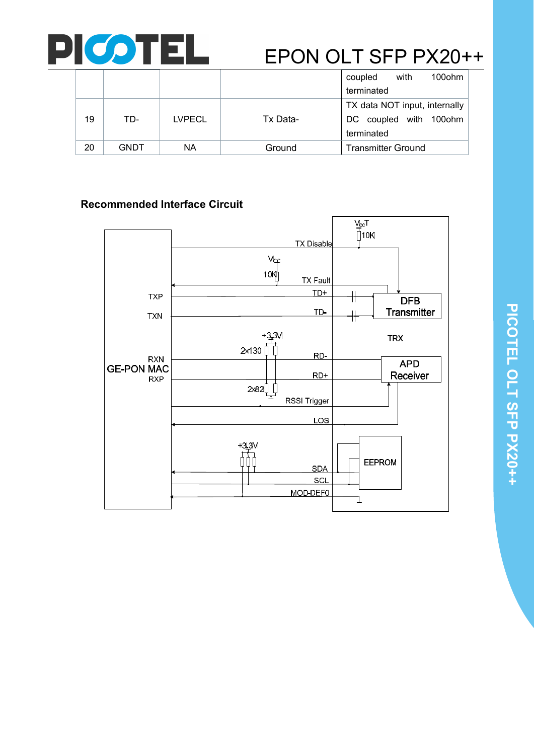

|    |             |               |          | coupled                       | with | 100ohm |
|----|-------------|---------------|----------|-------------------------------|------|--------|
|    |             |               |          | terminated                    |      |        |
|    |             |               |          | TX data NOT input, internally |      |        |
| 19 | TD-         | <b>LVPECL</b> | Tx Data- | DC coupled with 100ohm        |      |        |
|    |             |               |          | terminated                    |      |        |
| 20 | <b>GNDT</b> | NА            | Ground   | <b>Transmitter Ground</b>     |      |        |

# Recommended Interface Circuit

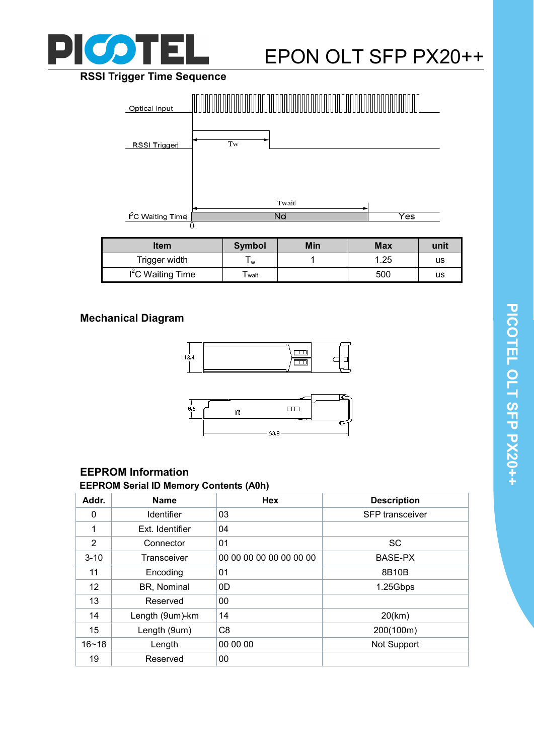

# **PTEL** EPON OLT SFP PX20++

# RSSI Trigger Time Sequence



| ltem               | Symbol | Min | <b>Max</b> | unit |
|--------------------|--------|-----|------------|------|
| Trigger width      | W      |     | .25        | us   |
| $I2C$ Waiting Time | wait   |     | 500        | us   |

# Mechanical Diagram





# EEPROM Information

## EEPROM Serial ID Memory Contents (A0h)

| Addr.             | <b>Name</b>       | <b>Hex</b>              | <b>Description</b>     |
|-------------------|-------------------|-------------------------|------------------------|
| 0                 | <b>Identifier</b> | 03                      | <b>SFP</b> transceiver |
| 1                 | Ext. Identifier   | 04                      |                        |
| $\overline{2}$    | Connector         | 01                      | <b>SC</b>              |
| $3 - 10$          | Transceiver       | 00 00 00 00 00 00 00 00 | BASE-PX                |
| 11                | Encoding          | 01                      | 8B10B                  |
| $12 \overline{ }$ | BR, Nominal       | 0D                      | 1.25Gbps               |
| 13                | Reserved          | 00                      |                        |
| 14                | Length (9um)-km   | 14                      | $20$ (km)              |
| 15                | Length (9um)      | C <sub>8</sub>          | 200(100m)              |
| $16 - 18$         | Length            | 00 00 00                | Not Support            |
| 19                | Reserved          | 00                      |                        |